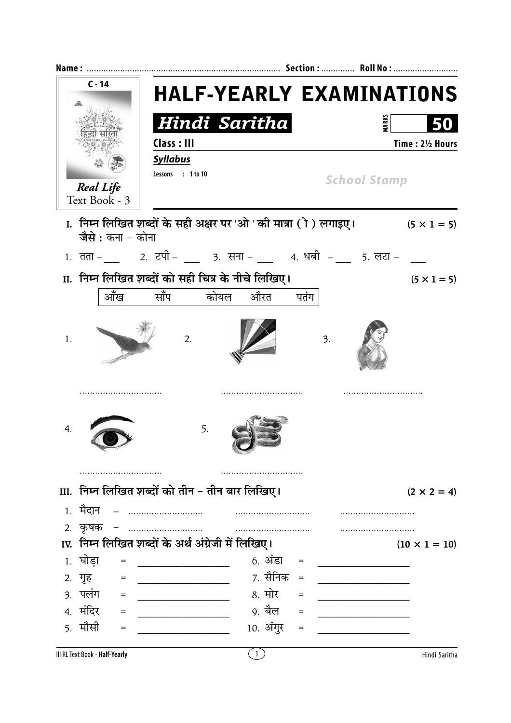|      | $C - 14$                          |                                                                 | <b>HALF-YEARLY EXAMINATIONS</b> |  |  |  |  |
|------|-----------------------------------|-----------------------------------------------------------------|---------------------------------|--|--|--|--|
|      |                                   |                                                                 |                                 |  |  |  |  |
|      |                                   | Hindi Saritha                                                   | <b>MARKS</b>                    |  |  |  |  |
|      |                                   | Class : III                                                     | Time: 21/2 Hours                |  |  |  |  |
|      | <b>Real Life</b><br>Text Book - 3 | <b>Syllabus</b><br>Lessons : 1 to 10                            | <b>School Stamp</b>             |  |  |  |  |
|      | जैसे : कना - कोना                 | I. निम्न लिखित शब्दों के सही अक्षर पर 'ओ ' की मात्रा (ो) लगाइए। | $(5 \times 1 = 5)$              |  |  |  |  |
|      |                                   |                                                                 |                                 |  |  |  |  |
|      |                                   | II. निम्न लिखित शब्दों को सही चित्र के नीचे लिखिए।              | $(5 \times 1 = 5)$              |  |  |  |  |
|      | आँख                               | साँप कोयल<br>औरत                                                | पतंग                            |  |  |  |  |
|      |                                   |                                                                 |                                 |  |  |  |  |
| 1.   |                                   | 2.                                                              | 3.                              |  |  |  |  |
| 4.   |                                   | 5.                                                              |                                 |  |  |  |  |
|      | .                                 |                                                                 |                                 |  |  |  |  |
| III. |                                   | निम्न लिखित शब्दों को तीन - तीन बार लिखिए।                      | $(2 \times 2 = 4)$              |  |  |  |  |
|      | 1. मैदान                          |                                                                 |                                 |  |  |  |  |
|      | 2. कृषक                           |                                                                 |                                 |  |  |  |  |
|      |                                   | IV. निम्न लिखित शब्दों के अर्थ अंग्रेजी में लिखिए।              | $(10 \times 1 = 10)$            |  |  |  |  |
|      | 1. घोड़ा                          | 6. अंडा                                                         |                                 |  |  |  |  |
|      | 2. गृह                            | 7. सैनिक                                                        | $=$                             |  |  |  |  |
|      | ३. पलंग                           | 8. मोर                                                          | $=$                             |  |  |  |  |
|      | 4. मंदिर                          | 9. बैल                                                          |                                 |  |  |  |  |
|      | 5. मौसी                           | 10. अंगुर                                                       | $=$                             |  |  |  |  |
|      |                                   |                                                                 |                                 |  |  |  |  |

III RL Text Book - Half-Yearly